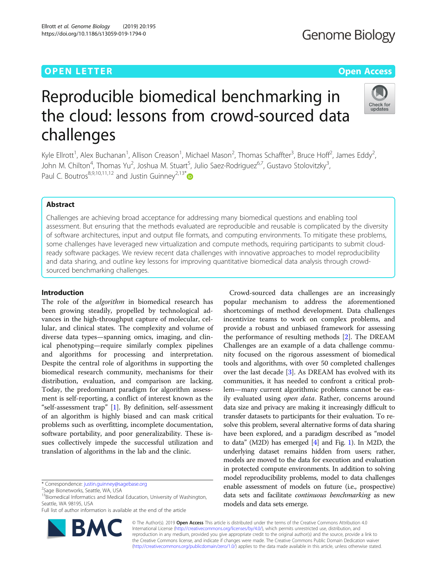# O PEN LETTER **OPEN LETTER OPEN LETTER OPEN LETTER OPEN LETTER OPEN ACCESS**

# Reproducible biomedical benchmarking in the cloud: lessons from crowd-sourced data challenges

Kyle Ellrott<sup>1</sup>, Alex Buchanan<sup>1</sup>, Allison Creason<sup>1</sup>, Michael Mason<sup>2</sup>, Thomas Schaffter<sup>3</sup>, Bruce Hoff<sup>2</sup>, James Eddy<sup>2</sup> , John M. Chilton<sup>4</sup>, Thomas Yu<sup>2</sup>, Joshua M. Stuart<sup>5</sup>, Julio Saez-Rodriguez<sup>6,7</sup>, Gustavo Stolovitzky<sup>3</sup> , Paul C. Boutros<sup>8,9,10,11,12</sup> and Justin Guinney<sup>2,13[\\*](http://orcid.org/0000-0003-1477-1888)</sup>

# Abstract

Challenges are achieving broad acceptance for addressing many biomedical questions and enabling tool assessment. But ensuring that the methods evaluated are reproducible and reusable is complicated by the diversity of software architectures, input and output file formats, and computing environments. To mitigate these problems, some challenges have leveraged new virtualization and compute methods, requiring participants to submit cloudready software packages. We review recent data challenges with innovative approaches to model reproducibility and data sharing, and outline key lessons for improving quantitative biomedical data analysis through crowdsourced benchmarking challenges.

# Introduction

The role of the *algorithm* in biomedical research has been growing steadily, propelled by technological advances in the high-throughput capture of molecular, cellular, and clinical states. The complexity and volume of diverse data types—spanning omics, imaging, and clinical phenotyping—require similarly complex pipelines and algorithms for processing and interpretation. Despite the central role of algorithms in supporting the biomedical research community, mechanisms for their distribution, evaluation, and comparison are lacking. Today, the predominant paradigm for algorithm assessment is self-reporting, a conflict of interest known as the "self-assessment trap" [\[1\]](#page-8-0). By definition, self-assessment of an algorithm is highly biased and can mask critical problems such as overfitting, incomplete documentation, software portability, and poor generalizability. These issues collectively impede the successful utilization and translation of algorithms in the lab and the clinic.

\* Correspondence: [justin.guinney@sagebase.org](mailto:justin.guinney@sagebase.org) <sup>2</sup>

<sup>2</sup>Sage Bionetworks, Seattle, WA, USA

Full list of author information is available at the end of the article

© The Author(s). 2019 Open Access This article is distributed under the terms of the Creative Commons Attribution 4.0 International License [\(http://creativecommons.org/licenses/by/4.0/](http://creativecommons.org/licenses/by/4.0/)), which permits unrestricted use, distribution, and reproduction in any medium, provided you give appropriate credit to the original author(s) and the source, provide a link to the Creative Commons license, and indicate if changes were made. The Creative Commons Public Domain Dedication waiver [\(http://creativecommons.org/publicdomain/zero/1.0/](http://creativecommons.org/publicdomain/zero/1.0/)) applies to the data made available in this article, unless otherwise stated.

popular mechanism to address the aforementioned shortcomings of method development. Data challenges incentivize teams to work on complex problems, and provide a robust and unbiased framework for assessing the performance of resulting methods [[2\]](#page-8-0). The DREAM Challenges are an example of a data challenge community focused on the rigorous assessment of biomedical tools and algorithms, with over 50 completed challenges over the last decade [[3\]](#page-8-0). As DREAM has evolved with its communities, it has needed to confront a critical problem—many current algorithmic problems cannot be easily evaluated using open data. Rather, concerns around data size and privacy are making it increasingly difficult to transfer datasets to participants for their evaluation. To resolve this problem, several alternative forms of data sharing have been explored, and a paradigm described as "model to data" (M2D) has emerged [\[4](#page-8-0)] and Fig. [1](#page-1-0)). In M2D, the underlying dataset remains hidden from users; rather, models are moved to the data for execution and evaluation in protected compute environments. In addition to solving model reproducibility problems, model to data challenges enable assessment of models on future (i.e., prospective) data sets and facilitate continuous benchmarking as new models and data sets emerge.

Crowd-sourced data challenges are an increasingly





<sup>&</sup>lt;sup>13</sup>Biomedical Informatics and Medical Education, University of Washington, Seattle, WA 98195, USA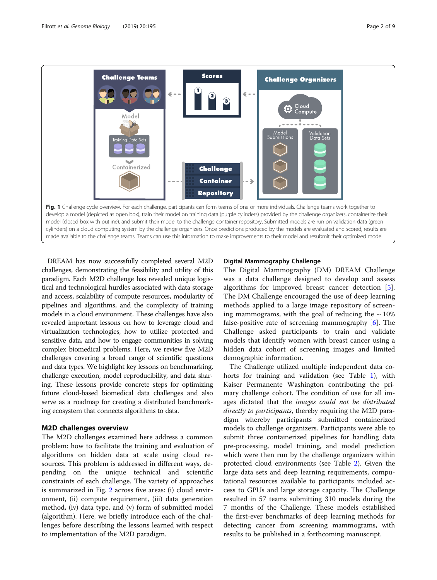<span id="page-1-0"></span>

DREAM has now successfully completed several M2D challenges, demonstrating the feasibility and utility of this paradigm. Each M2D challenge has revealed unique logistical and technological hurdles associated with data storage and access, scalability of compute resources, modularity of pipelines and algorithms, and the complexity of training models in a cloud environment. These challenges have also revealed important lessons on how to leverage cloud and virtualization technologies, how to utilize protected and sensitive data, and how to engage communities in solving complex biomedical problems. Here, we review five M2D challenges covering a broad range of scientific questions and data types. We highlight key lessons on benchmarking, challenge execution, model reproducibility, and data sharing. These lessons provide concrete steps for optimizing future cloud-based biomedical data challenges and also serve as a roadmap for creating a distributed benchmarking ecosystem that connects algorithms to data.

# M2D challenges overview

The M2D challenges examined here address a common problem: how to facilitate the training and evaluation of algorithms on hidden data at scale using cloud resources. This problem is addressed in different ways, depending on the unique technical and scientific constraints of each challenge. The variety of approaches is summarized in Fig. [2](#page-2-0) across five areas: (i) cloud environment, (ii) compute requirement, (iii) data generation method, (iv) data type, and (v) form of submitted model (algorithm). Here, we briefly introduce each of the challenges before describing the lessons learned with respect to implementation of the M2D paradigm.

#### Digital Mammography Challenge

The Digital Mammography (DM) DREAM Challenge was a data challenge designed to develop and assess algorithms for improved breast cancer detection [\[5](#page-8-0)]. The DM Challenge encouraged the use of deep learning methods applied to a large image repository of screening mammograms, with the goal of reducing the  $\sim 10\%$ false-positive rate of screening mammography [[6\]](#page-8-0). The Challenge asked participants to train and validate models that identify women with breast cancer using a hidden data cohort of screening images and limited demographic information.

The Challenge utilized multiple independent data cohorts for training and validation (see Table [1](#page-3-0)), with Kaiser Permanente Washington contributing the primary challenge cohort. The condition of use for all images dictated that the images could not be distributed directly to participants, thereby requiring the M2D paradigm whereby participants submitted containerized models to challenge organizers. Participants were able to submit three containerized pipelines for handling data pre-processing, model training, and model prediction which were then run by the challenge organizers within protected cloud environments (see Table [2\)](#page-3-0). Given the large data sets and deep learning requirements, computational resources available to participants included access to GPUs and large storage capacity. The Challenge resulted in 57 teams submitting 310 models during the 7 months of the Challenge. These models established the first-ever benchmarks of deep learning methods for detecting cancer from screening mammograms, with results to be published in a forthcoming manuscript.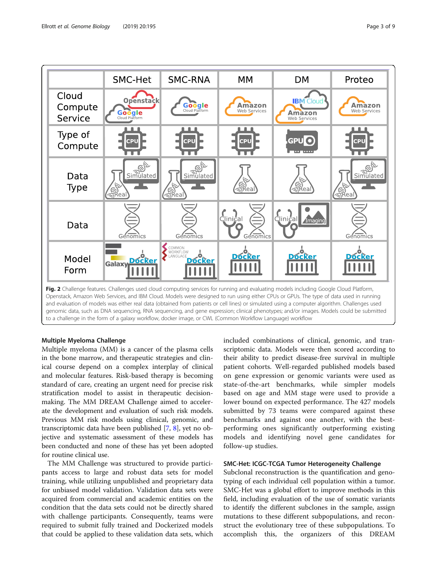<span id="page-2-0"></span>

#### Multiple Myeloma Challenge

Multiple myeloma (MM) is a cancer of the plasma cells in the bone marrow, and therapeutic strategies and clinical course depend on a complex interplay of clinical and molecular features. Risk-based therapy is becoming standard of care, creating an urgent need for precise risk stratification model to assist in therapeutic decisionmaking. The MM DREAM Challenge aimed to accelerate the development and evaluation of such risk models. Previous MM risk models using clinical, genomic, and transcriptomic data have been published [\[7,](#page-8-0) [8\]](#page-8-0), yet no objective and systematic assessment of these models has been conducted and none of these has yet been adopted for routine clinical use.

The MM Challenge was structured to provide participants access to large and robust data sets for model training, while utilizing unpublished and proprietary data for unbiased model validation. Validation data sets were acquired from commercial and academic entities on the condition that the data sets could not be directly shared with challenge participants. Consequently, teams were required to submit fully trained and Dockerized models that could be applied to these validation data sets, which included combinations of clinical, genomic, and transcriptomic data. Models were then scored according to their ability to predict disease-free survival in multiple patient cohorts. Well-regarded published models based on gene expression or genomic variants were used as state-of-the-art benchmarks, while simpler models based on age and MM stage were used to provide a lower bound on expected performance. The 427 models submitted by 73 teams were compared against these benchmarks and against one another, with the bestperforming ones significantly outperforming existing models and identifying novel gene candidates for follow-up studies.

## SMC-Het: ICGC-TCGA Tumor Heterogeneity Challenge

Subclonal reconstruction is the quantification and genotyping of each individual cell population within a tumor. SMC-Het was a global effort to improve methods in this field, including evaluation of the use of somatic variants to identify the different subclones in the sample, assign mutations to these different subpopulations, and reconstruct the evolutionary tree of these subpopulations. To accomplish this, the organizers of this DREAM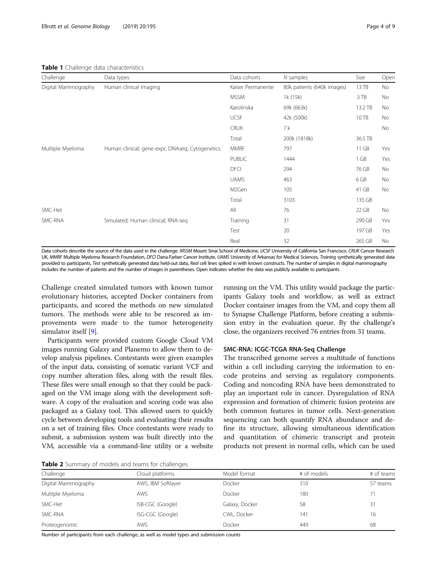#### <span id="page-3-0"></span>Table 1 Challenge data characteristics

| Challenge           | Data types                                      | Data cohorts      | N samples                  | Size    | Oper |
|---------------------|-------------------------------------------------|-------------------|----------------------------|---------|------|
| Digital Mammography | Human clinical Imaging                          | Kaiser Permanente | 80k patients (640k images) | 13 TB   | No   |
|                     |                                                 | <b>MSSM</b>       | 1k (15k)                   | .3 TB   | No   |
|                     |                                                 | Karolinska        | 69k (663k)                 | 13.2 TB | No   |
|                     |                                                 | <b>UCSF</b>       | 42k (500k)                 | 10 TB   | No   |
|                     |                                                 | <b>CRUK</b>       | 7 k                        |         | No   |
|                     |                                                 | Total             | 200k (1818k)               | 36.5 TB |      |
| Multiple Myeloma    | Human clinical; gene expr; DNAseg; Cytogenetics | <b>MMRF</b>       | 797                        | 11 GB   | Yes  |
|                     |                                                 | <b>PUBLIC</b>     | 1444                       | 1 GB    | Yes  |
|                     |                                                 | <b>DFCI</b>       | 294                        | 76 GB   | No   |
|                     |                                                 | <b>UAMS</b>       | 463                        | 6 GB    | No   |
|                     |                                                 | M2Gen             | 105                        | 41 GB   | No   |
|                     |                                                 |                   |                            |         |      |

Data cohorts describe the source of the data used in the challenge. MSSM Mount Sinai School of Medicine, UCSF University of California San Francisco, CRUK Cancer Research UK, MMRF Multiple Myeloma Research Foundation, DFCI Dana-Farber Cancer Institute, UAMS University of Arkansas for Medical Sciences, Training synthetically generated data provided to participants. Test synthetically generated data held-out data, Real cell lines spiked in with known constructs. The number of samples in digital mammography includes the number of patients and the number of images in parentheses. Open indicates whether the data was publicly available to participants

SMC-Het All 76 22 GB No SMC-RNA Simulated; Human clinical; RNA-seq Training 31 31 290 GB Yes

Challenge created simulated tumors with known tumor evolutionary histories, accepted Docker containers from participants, and scored the methods on new simulated tumors. The methods were able to be rescored as improvements were made to the tumor heterogeneity simulator itself [[9\]](#page-8-0).

Participants were provided custom Google Cloud VM images running Galaxy and Planemo to allow them to develop analysis pipelines. Contestants were given examples of the input data, consisting of somatic variant VCF and copy number alteration files, along with the result files. These files were small enough so that they could be packaged on the VM image along with the development software. A copy of the evaluation and scoring code was also packaged as a Galaxy tool. This allowed users to quickly cycle between developing tools and evaluating their results on a set of training files. Once contestants were ready to submit, a submission system was built directly into the VM, accessible via a command-line utility or a website running on the VM. This utility would package the participants Galaxy tools and workflow, as well as extract Docker container images from the VM, and copy them all to Synapse Challenge Platform, before creating a submission entry in the evaluation queue. By the challenge's close, the organizers received 76 entries from 31 teams.

Total 3103 3103 3104 3105 3108

Test 20 197 GB Yes Real 32 32 265 GB No

#### SMC-RNA: ICGC-TCGA RNA-Seq Challenge

The transcribed genome serves a multitude of functions within a cell including carrying the information to encode proteins and serving as regulatory components. Coding and noncoding RNA have been demonstrated to play an important role in cancer. Dysregulation of RNA expression and formation of chimeric fusion proteins are both common features in tumor cells. Next-generation sequencing can both quantify RNA abundance and define its structure, allowing simultaneous identification and quantitation of chimeric transcript and protein products not present in normal cells, which can be used

Table 2 Summary of models and teams for challenges

| Challenge           | Cloud platforms    | Model format   | # of models | # of teams |
|---------------------|--------------------|----------------|-------------|------------|
| Digital Mammography | AWS, IBM Softlayer | Docker         | 310         | 57 teams   |
| Multiple Myeloma    | <b>AWS</b>         | Docker         | 180         |            |
| SMC-Het             | ISB-CGC (Google)   | Galaxy, Docker | 58          | 31         |
| SMC-RNA             | ISG-CGC (Google)   | CWL, Docker    | 141         | 16         |
| Proteogenomic       | <b>AWS</b>         | Docker         | 449         | 68         |

Number of participants from each challenge, as well as model types and submission counts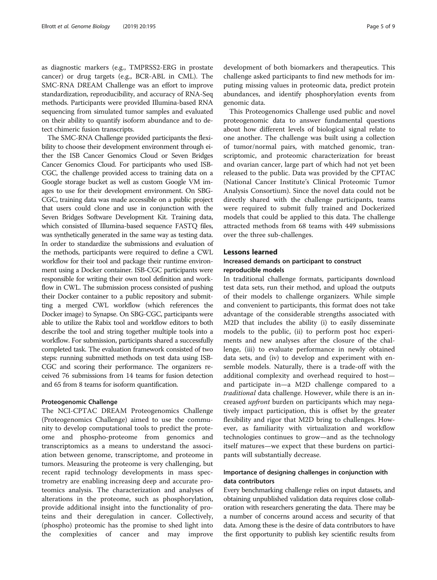as diagnostic markers (e.g., TMPRSS2-ERG in prostate cancer) or drug targets (e.g., BCR-ABL in CML). The SMC-RNA DREAM Challenge was an effort to improve standardization, reproducibility, and accuracy of RNA-Seq methods. Participants were provided Illumina-based RNA sequencing from simulated tumor samples and evaluated on their ability to quantify isoform abundance and to detect chimeric fusion transcripts.

The SMC-RNA Challenge provided participants the flexibility to choose their development environment through either the ISB Cancer Genomics Cloud or Seven Bridges Cancer Genomics Cloud. For participants who used ISB-CGC, the challenge provided access to training data on a Google storage bucket as well as custom Google VM images to use for their development environment. On SBG-CGC, training data was made accessible on a public project that users could clone and use in conjunction with the Seven Bridges Software Development Kit. Training data, which consisted of Illumina-based sequence FASTQ files, was synthetically generated in the same way as testing data. In order to standardize the submissions and evaluation of the methods, participants were required to define a CWL workflow for their tool and package their runtime environment using a Docker container. ISB-CGC participants were responsible for writing their own tool definition and workflow in CWL. The submission process consisted of pushing their Docker container to a public repository and submitting a merged CWL workflow (which references the Docker image) to Synapse. On SBG-CGC, participants were able to utilize the Rabix tool and workflow editors to both describe the tool and string together multiple tools into a workflow. For submission, participants shared a successfully completed task. The evaluation framework consisted of two steps: running submitted methods on test data using ISB-CGC and scoring their performance. The organizers received 76 submissions from 14 teams for fusion detection and 65 from 8 teams for isoform quantification.

#### Proteogenomic Challenge

The NCI-CPTAC DREAM Proteogenomics Challenge (Proteogenomics Challenge) aimed to use the community to develop computational tools to predict the proteome and phospho-proteome from genomics and transcriptomics as a means to understand the association between genome, transcriptome, and proteome in tumors. Measuring the proteome is very challenging, but recent rapid technology developments in mass spectrometry are enabling increasing deep and accurate proteomics analysis. The characterization and analyses of alterations in the proteome, such as phosphorylation, provide additional insight into the functionality of proteins and their deregulation in cancer. Collectively, (phospho) proteomic has the promise to shed light into the complexities of cancer and may improve development of both biomarkers and therapeutics. This challenge asked participants to find new methods for imputing missing values in proteomic data, predict protein abundances, and identify phosphorylation events from genomic data.

This Proteogenomics Challenge used public and novel proteogenomic data to answer fundamental questions about how different levels of biological signal relate to one another. The challenge was built using a collection of tumor/normal pairs, with matched genomic, transcriptomic, and proteomic characterization for breast and ovarian cancer, large part of which had not yet been released to the public. Data was provided by the CPTAC (National Cancer Institute's Clinical Proteomic Tumor Analysis Consortium). Since the novel data could not be directly shared with the challenge participants, teams were required to submit fully trained and Dockerized models that could be applied to this data. The challenge attracted methods from 68 teams with 449 submissions over the three sub-challenges.

# Lessons learned

## Increased demands on participant to construct reproducible models

In traditional challenge formats, participants download test data sets, run their method, and upload the outputs of their models to challenge organizers. While simple and convenient to participants, this format does not take advantage of the considerable strengths associated with M2D that includes the ability (i) to easily disseminate models to the public, (ii) to perform post hoc experiments and new analyses after the closure of the challenge, (iii) to evaluate performance in newly obtained data sets, and (iv) to develop and experiment with ensemble models. Naturally, there is a trade-off with the additional complexity and overhead required to host and participate in—a M2D challenge compared to a traditional data challenge. However, while there is an increased upfront burden on participants which may negatively impact participation, this is offset by the greater flexibility and rigor that M2D bring to challenges. However, as familiarity with virtualization and workflow technologies continues to grow—and as the technology itself matures—we expect that these burdens on participants will substantially decrease.

# Importance of designing challenges in conjunction with data contributors

Every benchmarking challenge relies on input datasets, and obtaining unpublished validation data requires close collaboration with researchers generating the data. There may be a number of concerns around access and security of that data. Among these is the desire of data contributors to have the first opportunity to publish key scientific results from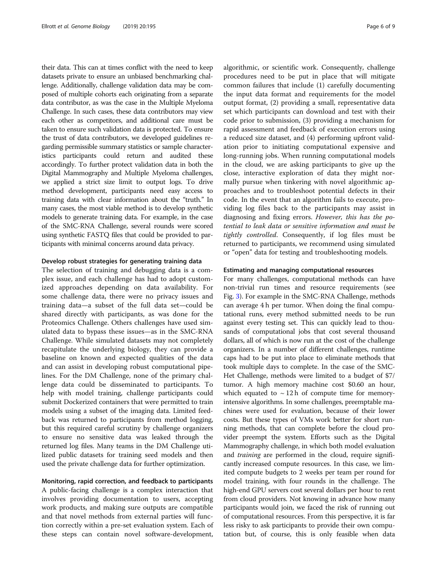their data. This can at times conflict with the need to keep datasets private to ensure an unbiased benchmarking challenge. Additionally, challenge validation data may be composed of multiple cohorts each originating from a separate data contributor, as was the case in the Multiple Myeloma Challenge. In such cases, these data contributors may view each other as competitors, and additional care must be taken to ensure such validation data is protected. To ensure the trust of data contributors, we developed guidelines regarding permissible summary statistics or sample characteristics participants could return and audited these accordingly. To further protect validation data in both the Digital Mammography and Multiple Myeloma challenges, we applied a strict size limit to output logs. To drive method development, participants need easy access to training data with clear information about the "truth." In many cases, the most viable method is to develop synthetic models to generate training data. For example, in the case of the SMC-RNA Challenge, several rounds were scored using synthetic FASTQ files that could be provided to participants with minimal concerns around data privacy.

#### Develop robust strategies for generating training data

The selection of training and debugging data is a complex issue, and each challenge has had to adopt customized approaches depending on data availability. For some challenge data, there were no privacy issues and training data—a subset of the full data set—could be shared directly with participants, as was done for the Proteomics Challenge. Others challenges have used simulated data to bypass these issues—as in the SMC-RNA Challenge. While simulated datasets may not completely recapitulate the underlying biology, they can provide a baseline on known and expected qualities of the data and can assist in developing robust computational pipelines. For the DM Challenge, none of the primary challenge data could be disseminated to participants. To help with model training, challenge participants could submit Dockerized containers that were permitted to train models using a subset of the imaging data. Limited feedback was returned to participants from method logging, but this required careful scrutiny by challenge organizers to ensure no sensitive data was leaked through the returned log files. Many teams in the DM Challenge utilized public datasets for training seed models and then used the private challenge data for further optimization.

# Monitoring, rapid correction, and feedback to participants

A public-facing challenge is a complex interaction that involves providing documentation to users, accepting work products, and making sure outputs are compatible and that novel methods from external parties will function correctly within a pre-set evaluation system. Each of these steps can contain novel software-development, algorithmic, or scientific work. Consequently, challenge procedures need to be put in place that will mitigate common failures that include (1) carefully documenting the input data format and requirements for the model output format, (2) providing a small, representative data set which participants can download and test with their code prior to submission, (3) providing a mechanism for rapid assessment and feedback of execution errors using a reduced size dataset, and (4) performing upfront validation prior to initiating computational expensive and long-running jobs. When running computational models in the cloud, we are asking participants to give up the close, interactive exploration of data they might normally pursue when tinkering with novel algorithmic approaches and to troubleshoot potential defects in their code. In the event that an algorithm fails to execute, providing log files back to the participants may assist in diagnosing and fixing errors. However, this has the potential to leak data or sensitive information and must be tightly controlled. Consequently, if log files must be returned to participants, we recommend using simulated or "open" data for testing and troubleshooting models.

#### Estimating and managing computational resources

For many challenges, computational methods can have non-trivial run times and resource requirements (see Fig. [3](#page-6-0)). For example in the SMC-RNA Challenge, methods can average 4 h per tumor. When doing the final computational runs, every method submitted needs to be run against every testing set. This can quickly lead to thousands of computational jobs that cost several thousand dollars, all of which is now run at the cost of the challenge organizers. In a number of different challenges, runtime caps had to be put into place to eliminate methods that took multiple days to complete. In the case of the SMC-Het Challenge, methods were limited to a budget of \$7/ tumor. A high memory machine cost \$0.60 an hour, which equated to  $\sim$  12 h of compute time for memoryintensive algorithms. In some challenges, preemptable machines were used for evaluation, because of their lower costs. But these types of VMs work better for short running methods, that can complete before the cloud provider preempt the system. Efforts such as the Digital Mammography challenge, in which both model evaluation and *training* are performed in the cloud, require significantly increased compute resources. In this case, we limited compute budgets to 2 weeks per team per round for model training, with four rounds in the challenge. The high-end GPU servers cost several dollars per hour to rent from cloud providers. Not knowing in advance how many participants would join, we faced the risk of running out of computational resources. From this perspective, it is far less risky to ask participants to provide their own computation but, of course, this is only feasible when data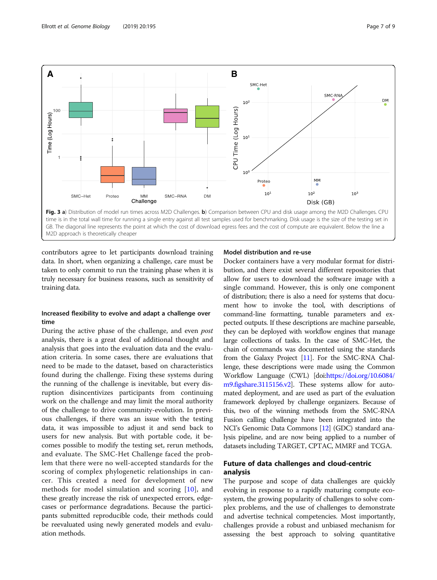<span id="page-6-0"></span>

M2D approach is theoretically cheaper

contributors agree to let participants download training data. In short, when organizing a challenge, care must be taken to only commit to run the training phase when it is truly necessary for business reasons, such as sensitivity of training data.

## Increased flexibility to evolve and adapt a challenge over time

During the active phase of the challenge, and even post analysis, there is a great deal of additional thought and analysis that goes into the evaluation data and the evaluation criteria. In some cases, there are evaluations that need to be made to the dataset, based on characteristics found during the challenge. Fixing these systems during the running of the challenge is inevitable, but every disruption disincentivizes participants from continuing work on the challenge and may limit the moral authority of the challenge to drive community-evolution. In previous challenges, if there was an issue with the testing data, it was impossible to adjust it and send back to users for new analysis. But with portable code, it becomes possible to modify the testing set, rerun methods, and evaluate. The SMC-Het Challenge faced the problem that there were no well-accepted standards for the scoring of complex phylogenetic relationships in cancer. This created a need for development of new methods for model simulation and scoring [[10\]](#page-8-0), and these greatly increase the risk of unexpected errors, edgecases or performance degradations. Because the participants submitted reproducible code, their methods could be reevaluated using newly generated models and evaluation methods.

#### Model distribution and re-use

Docker containers have a very modular format for distribution, and there exist several different repositories that allow for users to download the software image with a single command. However, this is only one component of distribution; there is also a need for systems that document how to invoke the tool, with descriptions of command-line formatting, tunable parameters and expected outputs. If these descriptions are machine parseable, they can be deployed with workflow engines that manage large collections of tasks. In the case of SMC-Het, the chain of commands was documented using the standards from the Galaxy Project [\[11\]](#page-8-0). For the SMC-RNA Challenge, these descriptions were made using the Common Workflow Language (CWL) [doi:[https://doi.org/10.6084/](https://doi.org/10.6084/m9.figshare.3115156.v2) [m9.figshare.3115156.v2](https://doi.org/10.6084/m9.figshare.3115156.v2)]. These systems allow for automated deployment, and are used as part of the evaluation framework deployed by challenge organizers. Because of this, two of the winning methods from the SMC-RNA Fusion calling challenge have been integrated into the NCI's Genomic Data Commons [[12](#page-8-0)] (GDC) standard analysis pipeline, and are now being applied to a number of datasets including TARGET, CPTAC, MMRF and TCGA.

# Future of data challenges and cloud-centric analysis

The purpose and scope of data challenges are quickly evolving in response to a rapidly maturing compute ecosystem, the growing popularity of challenges to solve complex problems, and the use of challenges to demonstrate and advertise technical competencies. Most importantly, challenges provide a robust and unbiased mechanism for assessing the best approach to solving quantitative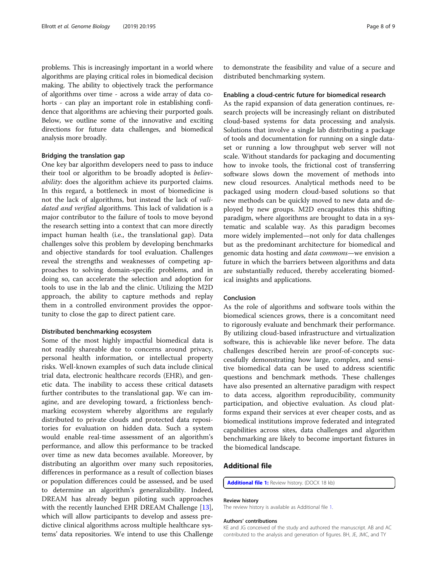problems. This is increasingly important in a world where algorithms are playing critical roles in biomedical decision making. The ability to objectively track the performance of algorithms over time - across a wide array of data cohorts - can play an important role in establishing confidence that algorithms are achieving their purported goals. Below, we outline some of the innovative and exciting directions for future data challenges, and biomedical analysis more broadly.

#### Bridging the translation gap

One key bar algorithm developers need to pass to induce their tool or algorithm to be broadly adopted is believability: does the algorithm achieve its purported claims. In this regard, a bottleneck in most of biomedicine is not the lack of algorithms, but instead the lack of validated and verified algorithms. This lack of validation is a major contributor to the failure of tools to move beyond the research setting into a context that can more directly impact human health (i.e., the translational gap). Data challenges solve this problem by developing benchmarks and objective standards for tool evaluation. Challenges reveal the strengths and weaknesses of competing approaches to solving domain-specific problems, and in doing so, can accelerate the selection and adoption for tools to use in the lab and the clinic. Utilizing the M2D approach, the ability to capture methods and replay them in a controlled environment provides the opportunity to close the gap to direct patient care.

#### Distributed benchmarking ecosystem

Some of the most highly impactful biomedical data is not readily shareable due to concerns around privacy, personal health information, or intellectual property risks. Well-known examples of such data include clinical trial data, electronic healthcare records (EHR), and genetic data. The inability to access these critical datasets further contributes to the translational gap. We can imagine, and are developing toward, a frictionless benchmarking ecosystem whereby algorithms are regularly distributed to private clouds and protected data repositories for evaluation on hidden data. Such a system would enable real-time assessment of an algorithm's performance, and allow this performance to be tracked over time as new data becomes available. Moreover, by distributing an algorithm over many such repositories, differences in performance as a result of collection biases or population differences could be assessed, and be used to determine an algorithm's generalizability. Indeed, DREAM has already begun piloting such approaches with the recently launched EHR DREAM Challenge [\[13](#page-8-0)], which will allow participants to develop and assess predictive clinical algorithms across multiple healthcare systems' data repositories. We intend to use this Challenge to demonstrate the feasibility and value of a secure and distributed benchmarking system.

#### Enabling a cloud-centric future for biomedical research

As the rapid expansion of data generation continues, research projects will be increasingly reliant on distributed cloud-based systems for data processing and analysis. Solutions that involve a single lab distributing a package of tools and documentation for running on a single dataset or running a low throughput web server will not scale. Without standards for packaging and documenting how to invoke tools, the frictional cost of transferring software slows down the movement of methods into new cloud resources. Analytical methods need to be packaged using modern cloud-based solutions so that new methods can be quickly moved to new data and deployed by new groups. M2D encapsulates this shifting paradigm, where algorithms are brought to data in a systematic and scalable way. As this paradigm becomes more widely implemented—not only for data challenges but as the predominant architecture for biomedical and genomic data hosting and *data commons*—we envision a future in which the barriers between algorithms and data are substantially reduced, thereby accelerating biomedical insights and applications.

#### Conclusion

As the role of algorithms and software tools within the biomedical sciences grows, there is a concomitant need to rigorously evaluate and benchmark their performance. By utilizing cloud-based infrastructure and virtualization software, this is achievable like never before. The data challenges described herein are proof-of-concepts successfully demonstrating how large, complex, and sensitive biomedical data can be used to address scientific questions and benchmark methods. These challenges have also presented an alternative paradigm with respect to data access, algorithm reproducibility, community participation, and objective evaluation. As cloud platforms expand their services at ever cheaper costs, and as biomedical institutions improve federated and integrated capabilities across sites, data challenges and algorithm benchmarking are likely to become important fixtures in the biomedical landscape.

#### Additional file

[Additional file 1:](https://doi.org/10.1186/s13059-019-1794-0) Review history. (DOCX 18 kb)

#### Review history

The review history is available as Additional file 1.

#### Authors' contributions

KE and JG conceived of the study and authored the manuscript. AB and AC contributed to the analysis and generation of figures. BH, JE, JMC, and TY